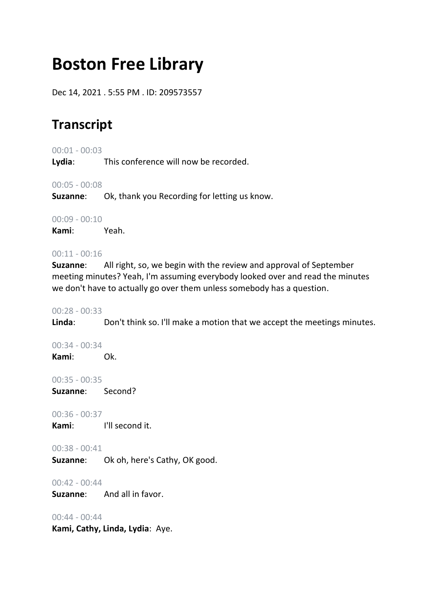# **Boston Free Library**

Dec 14, 2021 . 5:55 PM . ID: 209573557

## **Transcript**

00:01 - 00:03

**Lydia**: This conference will now be recorded.

00:05 - 00:08

**Suzanne**: Ok, thank you Recording for letting us know.

00:09 - 00:10

**Kami**: Yeah.

#### $00:11 - 00:16$

**Suzanne**: All right, so, we begin with the review and approval of September meeting minutes? Yeah, I'm assuming everybody looked over and read the minutes we don't have to actually go over them unless somebody has a question.

## 00:28 - 00:33

**Linda**: Don't think so. I'll make a motion that we accept the meetings minutes.

00:34 - 00:34 **Kami**: Ok.

00:35 - 00:35

**Suzanne**: Second?

00:36 - 00:37

**Kami**: I'll second it.

## 00:38 - 00:41

**Suzanne**: Ok oh, here's Cathy, OK good.

00:42 - 00:44

**Suzanne**: And all in favor.

00:44 - 00:44

**Kami, Cathy, Linda, Lydia**: Aye.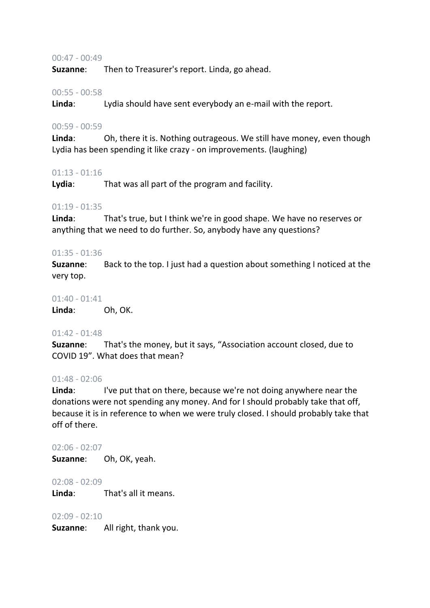#### 00:47 - 00:49

**Suzanne**: Then to Treasurer's report. Linda, go ahead.

#### 00:55 - 00:58

**Linda**: Lydia should have sent everybody an e-mail with the report.

#### 00:59 - 00:59

**Linda**: Oh, there it is. Nothing outrageous. We still have money, even though Lydia has been spending it like crazy - on improvements. (laughing)

#### 01:13 - 01:16

**Lydia**: That was all part of the program and facility.

#### 01:19 - 01:35

**Linda**: That's true, but I think we're in good shape. We have no reserves or anything that we need to do further. So, anybody have any questions?

#### 01:35 - 01:36

**Suzanne**: Back to the top. I just had a question about something I noticed at the very top.

#### 01:40 - 01:41

**Linda**: Oh, OK.

## 01:42 - 01:48

**Suzanne**: That's the money, but it says, "Association account closed, due to COVID 19". What does that mean?

#### 01:48 - 02:06

**Linda:** I've put that on there, because we're not doing anywhere near the donations were not spending any money. And for I should probably take that off, because it is in reference to when we were truly closed. I should probably take that off of there.

#### $02.06 - 02.07$

**Suzanne**: Oh, OK, yeah.

02:08 - 02:09 **Linda**: That's all it means.

 $02:09 - 02:10$ 

**Suzanne**: All right, thank you.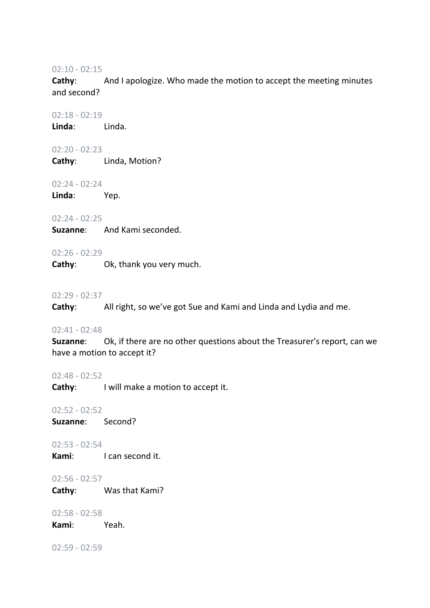02:10 - 02:15

**Cathy:** And I apologize. Who made the motion to accept the meeting minutes and second?

02:18 - 02:19

**Linda**: Linda.

02:20 - 02:23

**Cathy**: Linda, Motion?

02:24 - 02:24

**Linda**: Yep.

02:24 - 02:25

**Suzanne**: And Kami seconded.

## 02:26 - 02:29

**Cathy**: Ok, thank you very much.

#### 02:29 - 02:37

**Cathy**: All right, so we've got Sue and Kami and Linda and Lydia and me.

02:41 - 02:48

**Suzanne**: Ok, if there are no other questions about the Treasurer's report, can we have a motion to accept it?

02:48 - 02:52

**Cathy:** I will make a motion to accept it.

02:52 - 02:52

**Suzanne**: Second?

02:53 - 02:54

**Kami:** I can second it.

02:56 - 02:57

**Cathy**: Was that Kami?

02:58 - 02:58

**Kami**: Yeah.

02:59 - 02:59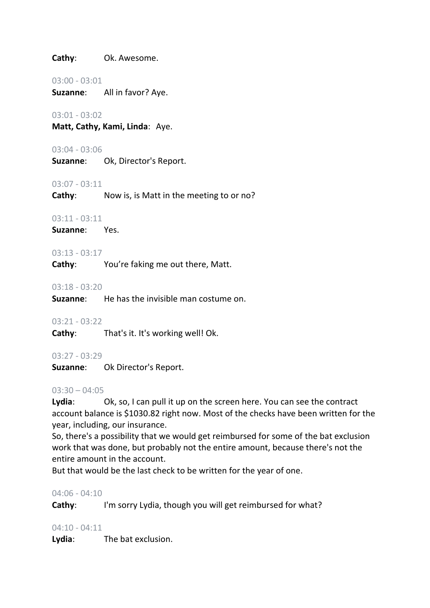**Cathy**: Ok. Awesome.

#### 03:00 - 03:01

**Suzanne**: All in favor? Aye.

## 03:01 - 03:02

**Matt, Cathy, Kami, Linda**: Aye.

#### 03:04 - 03:06

**Suzanne**: Ok, Director's Report.

#### 03:07 - 03:11

**Cathy**: Now is, is Matt in the meeting to or no?

## 03:11 - 03:11

**Suzanne**: Yes.

## 03:13 - 03:17

**Cathy**: You're faking me out there, Matt.

#### 03:18 - 03:20

**Suzanne**: He has the invisible man costume on.

#### 03:21 - 03:22

**Cathy**: That's it. It's working well! Ok.

## 03:27 - 03:29

**Suzanne**: Ok Director's Report.

#### $03:30 - 04:05$

**Lydia**: Ok, so, I can pull it up on the screen here. You can see the contract account balance is \$1030.82 right now. Most of the checks have been written for the year, including, our insurance.

So, there's a possibility that we would get reimbursed for some of the bat exclusion work that was done, but probably not the entire amount, because there's not the entire amount in the account.

But that would be the last check to be written for the year of one.

#### 04:06 - 04:10

**Cathy:** I'm sorry Lydia, though you will get reimbursed for what?

## 04:10 - 04:11

**Lydia**: The bat exclusion.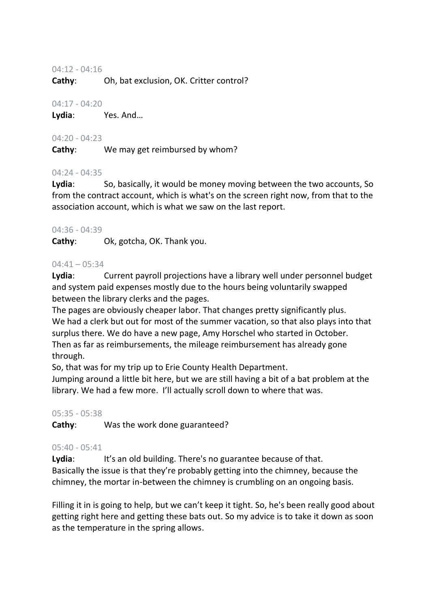## 04:12 - 04:16

**Cathy**: Oh, bat exclusion, OK. Critter control?

## 04:17 - 04:20

**Lydia**: Yes. And…

## 04:20 - 04:23

**Cathy**: We may get reimbursed by whom?

## 04:24 - 04:35

Lydia: So, basically, it would be money moving between the two accounts, So from the contract account, which is what's on the screen right now, from that to the association account, which is what we saw on the last report.

## 04:36 - 04:39

**Cathy**: Ok, gotcha, OK. Thank you.

## 04:41 – 05:34

**Lydia**: Current payroll projections have a library well under personnel budget and system paid expenses mostly due to the hours being voluntarily swapped between the library clerks and the pages.

The pages are obviously cheaper labor. That changes pretty significantly plus. We had a clerk but out for most of the summer vacation, so that also plays into that surplus there. We do have a new page, Amy Horschel who started in October. Then as far as reimbursements, the mileage reimbursement has already gone through.

So, that was for my trip up to Erie County Health Department.

Jumping around a little bit here, but we are still having a bit of a bat problem at the library. We had a few more. I'll actually scroll down to where that was.

## 05:35 - 05:38

**Cathy**: Was the work done guaranteed?

## 05:40 - 05:41

Lydia: It's an old building. There's no guarantee because of that. Basically the issue is that they're probably getting into the chimney, because the chimney, the mortar in-between the chimney is crumbling on an ongoing basis.

Filling it in is going to help, but we can't keep it tight. So, he's been really good about getting right here and getting these bats out. So my advice is to take it down as soon as the temperature in the spring allows.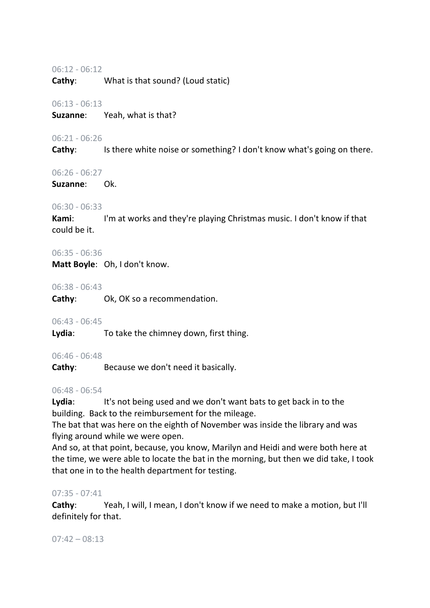#### 06:12 - 06:12

**Cathy**: What is that sound? (Loud static)

#### 06:13 - 06:13

**Suzanne**: Yeah, what is that?

## 06:21 - 06:26

**Cathy:** Is there white noise or something? I don't know what's going on there.

## 06:26 - 06:27

**Suzanne**: Ok.

## 06:30 - 06:33

**Kami:** I'm at works and they're playing Christmas music. I don't know if that could be it.

## 06:35 - 06:36

**Matt Boyle**: Oh, I don't know.

## 06:38 - 06:43

**Cathy**: Ok, OK so a recommendation.

## 06:43 - 06:45

**Lydia**: To take the chimney down, first thing.

## 06:46 - 06:48

**Cathy**: Because we don't need it basically.

## 06:48 - 06:54

Lydia: It's not being used and we don't want bats to get back in to the building. Back to the reimbursement for the mileage.

The bat that was here on the eighth of November was inside the library and was flying around while we were open.

And so, at that point, because, you know, Marilyn and Heidi and were both here at the time, we were able to locate the bat in the morning, but then we did take, I took that one in to the health department for testing.

## 07:35 - 07:41

**Cathy**: Yeah, I will, I mean, I don't know if we need to make a motion, but I'll definitely for that.

 $07:42 - 08:13$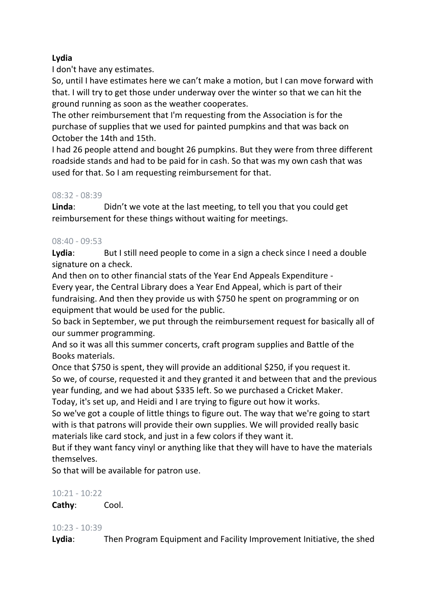## **Lydia**

I don't have any estimates.

So, until I have estimates here we can't make a motion, but I can move forward with that. I will try to get those under underway over the winter so that we can hit the ground running as soon as the weather cooperates.

The other reimbursement that I'm requesting from the Association is for the purchase of supplies that we used for painted pumpkins and that was back on October the 14th and 15th.

I had 26 people attend and bought 26 pumpkins. But they were from three different roadside stands and had to be paid for in cash. So that was my own cash that was used for that. So I am requesting reimbursement for that.

## 08:32 - 08:39

**Linda**: Didn't we vote at the last meeting, to tell you that you could get reimbursement for these things without waiting for meetings.

## 08:40 - 09:53

**Lydia**: But I still need people to come in a sign a check since I need a double signature on a check.

And then on to other financial stats of the Year End Appeals Expenditure - Every year, the Central Library does a Year End Appeal, which is part of their fundraising. And then they provide us with \$750 he spent on programming or on equipment that would be used for the public.

So back in September, we put through the reimbursement request for basically all of our summer programming.

And so it was all this summer concerts, craft program supplies and Battle of the Books materials.

Once that \$750 is spent, they will provide an additional \$250, if you request it. So we, of course, requested it and they granted it and between that and the previous year funding, and we had about \$335 left. So we purchased a Cricket Maker.

Today, it's set up, and Heidi and I are trying to figure out how it works.

So we've got a couple of little things to figure out. The way that we're going to start with is that patrons will provide their own supplies. We will provided really basic materials like card stock, and just in a few colors if they want it.

But if they want fancy vinyl or anything like that they will have to have the materials themselves.

So that will be available for patron use.

## 10:21 - 10:22

**Cathy**: Cool.

## 10:23 - 10:39

**Lydia**: Then Program Equipment and Facility Improvement Initiative, the shed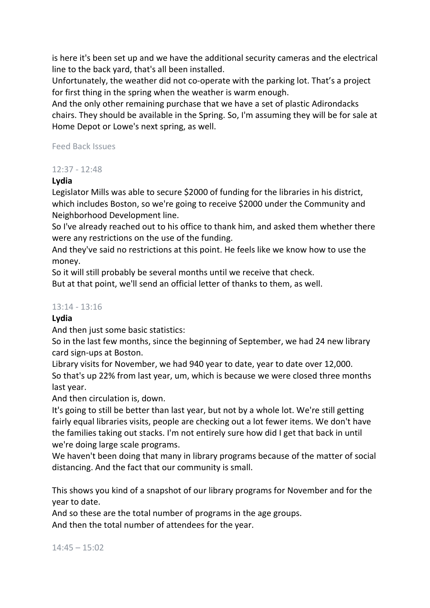is here it's been set up and we have the additional security cameras and the electrical line to the back yard, that's all been installed.

Unfortunately, the weather did not co-operate with the parking lot. That's a project for first thing in the spring when the weather is warm enough.

And the only other remaining purchase that we have a set of plastic Adirondacks chairs. They should be available in the Spring. So, I'm assuming they will be for sale at Home Depot or Lowe's next spring, as well.

## Feed Back Issues

## 12:37 - 12:48

## **Lydia**

Legislator Mills was able to secure \$2000 of funding for the libraries in his district, which includes Boston, so we're going to receive \$2000 under the Community and Neighborhood Development line.

So I've already reached out to his office to thank him, and asked them whether there were any restrictions on the use of the funding.

And they've said no restrictions at this point. He feels like we know how to use the money.

So it will still probably be several months until we receive that check.

But at that point, we'll send an official letter of thanks to them, as well.

## 13:14 - 13:16

## **Lydia**

And then just some basic statistics:

So in the last few months, since the beginning of September, we had 24 new library card sign-ups at Boston.

Library visits for November, we had 940 year to date, year to date over 12,000. So that's up 22% from last year, um, which is because we were closed three months last year.

And then circulation is, down.

It's going to still be better than last year, but not by a whole lot. We're still getting fairly equal libraries visits, people are checking out a lot fewer items. We don't have the families taking out stacks. I'm not entirely sure how did I get that back in until we're doing large scale programs.

We haven't been doing that many in library programs because of the matter of social distancing. And the fact that our community is small.

This shows you kind of a snapshot of our library programs for November and for the year to date.

And so these are the total number of programs in the age groups.

And then the total number of attendees for the year.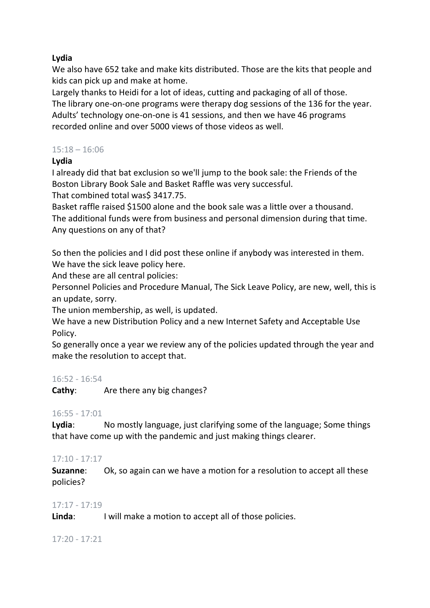## **Lydia**

We also have 652 take and make kits distributed. Those are the kits that people and kids can pick up and make at home.

Largely thanks to Heidi for a lot of ideas, cutting and packaging of all of those. The library one-on-one programs were therapy dog sessions of the 136 for the year. Adults' technology one-on-one is 41 sessions, and then we have 46 programs recorded online and over 5000 views of those videos as well.

## 15:18 – 16:06

## **Lydia**

I already did that bat exclusion so we'll jump to the book sale: the Friends of the Boston Library Book Sale and Basket Raffle was very successful.

That combined total was\$ 3417.75.

Basket raffle raised \$1500 alone and the book sale was a little over a thousand. The additional funds were from business and personal dimension during that time. Any questions on any of that?

So then the policies and I did post these online if anybody was interested in them. We have the sick leave policy here.

And these are all central policies:

Personnel Policies and Procedure Manual, The Sick Leave Policy, are new, well, this is an update, sorry.

The union membership, as well, is updated.

We have a new Distribution Policy and a new Internet Safety and Acceptable Use Policy.

So generally once a year we review any of the policies updated through the year and make the resolution to accept that.

## 16:52 - 16:54

**Cathy:** Are there any big changes?

## 16:55 - 17:01

**Lydia**: No mostly language, just clarifying some of the language; Some things that have come up with the pandemic and just making things clearer.

## 17:10 - 17:17

**Suzanne**: Ok, so again can we have a motion for a resolution to accept all these policies?

## 17:17 - 17:19

**Linda**: I will make a motion to accept all of those policies.

17:20 - 17:21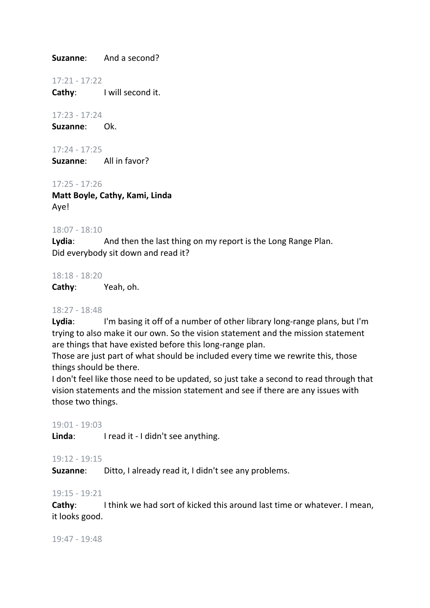**Suzanne**: And a second?

17:21 - 17:22

**Cathy**: I will second it.

17:23 - 17:24 **Suzanne**: Ok.

17:24 - 17:25 **Suzanne**: All in favor?

17:25 - 17:26

**Matt Boyle, Cathy, Kami, Linda** Aye!

#### 18:07 - 18:10

**Lydia**: And then the last thing on my report is the Long Range Plan. Did everybody sit down and read it?

18:18 - 18:20

**Cathy**: Yeah, oh.

#### 18:27 - 18:48

Lydia: I'm basing it off of a number of other library long-range plans, but I'm trying to also make it our own. So the vision statement and the mission statement are things that have existed before this long-range plan.

Those are just part of what should be included every time we rewrite this, those things should be there.

I don't feel like those need to be updated, so just take a second to read through that vision statements and the mission statement and see if there are any issues with those two things.

#### 19:01 - 19:03

Linda: I read it - I didn't see anything.

#### 19:12 - 19:15

**Suzanne**: Ditto, I already read it, I didn't see any problems.

#### 19:15 - 19:21

**Cathy:** I think we had sort of kicked this around last time or whatever. I mean, it looks good.

19:47 - 19:48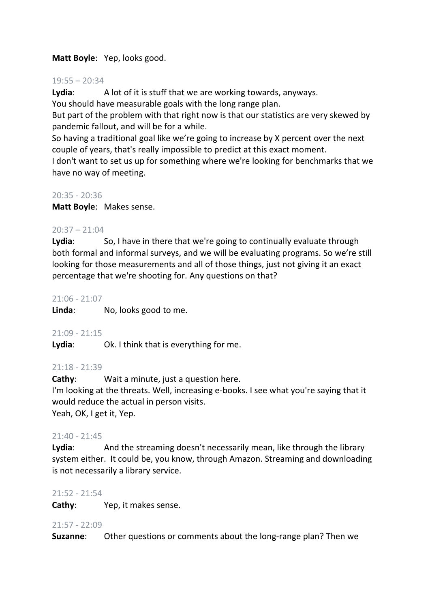## **Matt Boyle**: Yep, looks good.

#### 19:55 – 20:34

**Lydia**: A lot of it is stuff that we are working towards, anyways. You should have measurable goals with the long range plan.

But part of the problem with that right now is that our statistics are very skewed by pandemic fallout, and will be for a while.

So having a traditional goal like we're going to increase by X percent over the next couple of years, that's really impossible to predict at this exact moment.

I don't want to set us up for something where we're looking for benchmarks that we have no way of meeting.

## 20:35 - 20:36

**Matt Boyle**: Makes sense.

## $20:37 - 21:04$

Lydia: So, I have in there that we're going to continually evaluate through both formal and informal surveys, and we will be evaluating programs. So we're still looking for those measurements and all of those things, just not giving it an exact percentage that we're shooting for. Any questions on that?

#### 21:06 - 21:07

**Linda**: No, looks good to me.

## 21:09 - 21:15

**Lydia**: Ok. I think that is everything for me.

## 21:18 - 21:39

**Cathy**: Wait a minute, just a question here. I'm looking at the threats. Well, increasing e-books. I see what you're saying that it would reduce the actual in person visits. Yeah, OK, I get it, Yep.

## 21:40 - 21:45

**Lydia**: And the streaming doesn't necessarily mean, like through the library system either. It could be, you know, through Amazon. Streaming and downloading is not necessarily a library service.

#### 21:52 - 21:54

**Cathy**: Yep, it makes sense.

#### 21:57 - 22:09

**Suzanne**: Other questions or comments about the long-range plan? Then we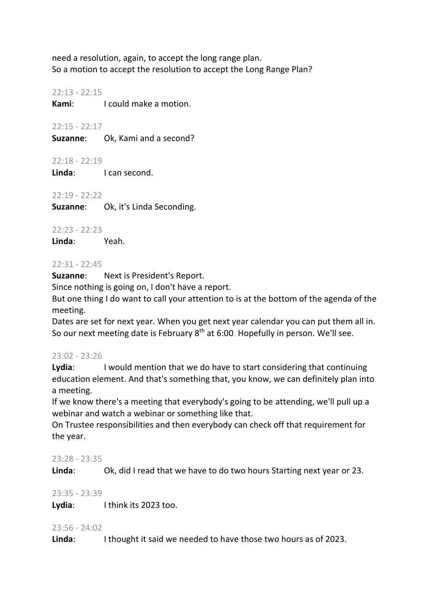need a resolution, again, to accept the long range plan. So a motion to accept the resolution to accept the Long Range Plan?

22:13 - 22:15

**Kami**: I could make a motion.

22:15 - 22:17

**Suzanne**: Ok, Kami and a second?

22:18 - 22:19

**Linda**: I can second.

22:19 - 22:22

**Suzanne**: Ok, it's Linda Seconding.

22:23 - 22:23 **Linda**: Yeah.

#### 22:31 - 22:45

**Suzanne**: Next is President's Report.

Since nothing is going on, I don't have a report.

But one thing I do want to call your attention to is at the bottom of the agenda of the meeting.

Dates are set for next year. When you get next year calendar you can put them all in. So our next meeting date is February 8<sup>th</sup> at 6:00. Hopefully in person. We'll see.

## 23:02 - 23:26

Lydia: I would mention that we do have to start considering that continuing education element. And that's something that, you know, we can definitely plan into a meeting.

If we know there's a meeting that everybody's going to be attending, we'll pull up a webinar and watch a webinar or something like that.

On Trustee responsibilities and then everybody can check off that requirement for the year.

## 23:28 - 23:35

**Linda**: Ok, did I read that we have to do two hours Starting next year or 23.

## 23:35 - 23:39

**Lydia**: I think its 2023 too.

## 23:56 - 24:02

**Linda**: I thought it said we needed to have those two hours as of 2023.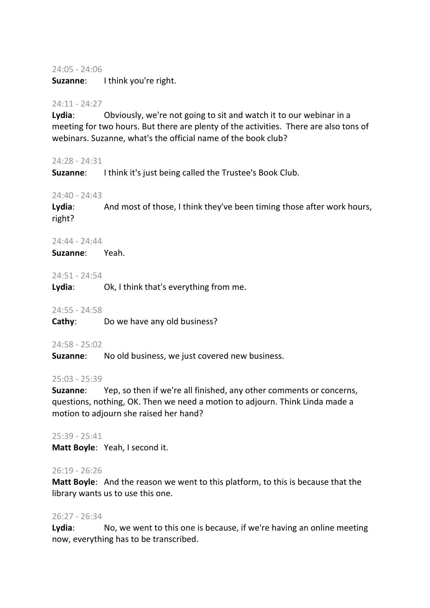#### 24:05 - 24:06

**Suzanne**: I think you're right.

#### 24:11 - 24:27

**Lydia**: Obviously, we're not going to sit and watch it to our webinar in a meeting for two hours. But there are plenty of the activities. There are also tons of webinars. Suzanne, what's the official name of the book club?

#### 24:28 - 24:31

**Suzanne**: I think it's just being called the Trustee's Book Club.

## 24:40 - 24:43

Lydia: And most of those, I think they've been timing those after work hours, right?

#### 24:44 - 24:44

**Suzanne**: Yeah.

#### 24:51 - 24:54

**Lydia**: Ok, I think that's everything from me.

#### 24:55 - 24:58

**Cathy:** Do we have any old business?

#### 24:58 - 25:02

**Suzanne**: No old business, we just covered new business.

#### 25:03 - 25:39

**Suzanne**: Yep, so then if we're all finished, any other comments or concerns, questions, nothing, OK. Then we need a motion to adjourn. Think Linda made a motion to adjourn she raised her hand?

#### 25:39 - 25:41

**Matt Boyle**: Yeah, I second it.

#### 26:19 - 26:26

**Matt Boyle**: And the reason we went to this platform, to this is because that the library wants us to use this one.

## 26:27 - 26:34

**Lydia**: No, we went to this one is because, if we're having an online meeting now, everything has to be transcribed.